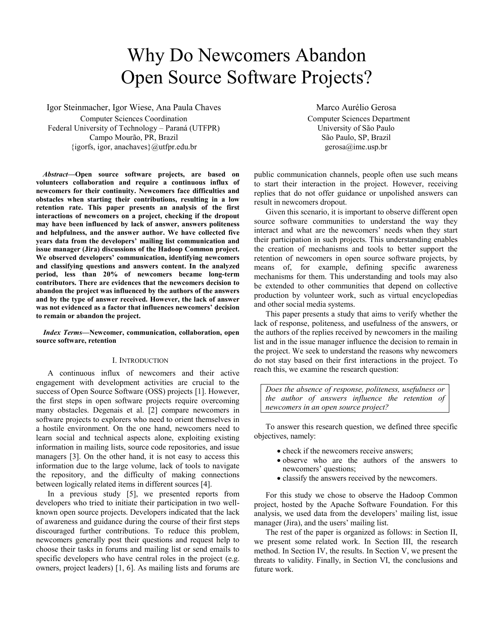# Why Do Newcomers Abandon Open Source Software Projects?

Igor Steinmacher, Igor Wiese, Ana Paula Chaves Computer Sciences Coordination Federal University of Technology – Paraná (UTFPR) Campo Mourão, PR, Brazil {igorfs, igor, anachaves}@utfpr.edu.br

*Abstract***—Open source software projects, are based on volunteers collaboration and require a continuous influx of newcomers for their continuity. Newcomers face difficulties and obstacles when starting their contributions, resulting in a low retention rate. This paper presents an analysis of the first interactions of newcomers on a project, checking if the dropout may have been influenced by lack of answer, answers politeness and helpfulness, and the answer author. We have collected five years data from the developers' mailing list communication and issue manager (Jira) discussions of the Hadoop Common project. We observed developers' communication, identifying newcomers and classifying questions and answers content. In the analyzed period, less than 20% of newcomers became long-term contributors. There are evidences that the newcomers decision to abandon the project was influenced by the authors of the answers and by the type of answer received. However, the lack of answer was not evidenced as a factor that influences newcomers' decision to remain or abandon the project.**

*Index Terms***—Newcomer, communication, collaboration, open source software, retention**

#### I. INTRODUCTION

A continuous influx of newcomers and their active engagement with development activities are crucial to the success of Open Source Software (OSS) projects [1]. However, the first steps in open software projects require overcoming many obstacles. Degenais et al. [2] compare newcomers in software projects to explorers who need to orient themselves in a hostile environment. On the one hand, newcomers need to learn social and technical aspects alone, exploiting existing information in mailing lists, source code repositories, and issue managers [3]. On the other hand, it is not easy to access this information due to the large volume, lack of tools to navigate the repository, and the difficulty of making connections between logically related items in different sources [4].

In a previous study [5], we presented reports from developers who tried to initiate their participation in two wellknown open source projects. Developers indicated that the lack of awareness and guidance during the course of their first steps discouraged further contributions. To reduce this problem, newcomers generally post their questions and request help to choose their tasks in forums and mailing list or send emails to specific developers who have central roles in the project (e.g. owners, project leaders) [1, 6]. As mailing lists and forums are

Marco Aurélio Gerosa Computer Sciences Department University of São Paulo São Paulo, SP, Brazil gerosa@ime.usp.br

public communication channels, people often use such means to start their interaction in the project. However, receiving replies that do not offer guidance or unpolished answers can result in newcomers dropout.

Given this scenario, it is important to observe different open source software communities to understand the way they interact and what are the newcomers' needs when they start their participation in such projects. This understanding enables the creation of mechanisms and tools to better support the retention of newcomers in open source software projects, by means of, for example, defining specific awareness mechanisms for them. This understanding and tools may also be extended to other communities that depend on collective production by volunteer work, such as virtual encyclopedias and other social media systems.

This paper presents a study that aims to verify whether the lack of response, politeness, and usefulness of the answers, or the authors of the replies received by newcomers in the mailing list and in the issue manager influence the decision to remain in the project. We seek to understand the reasons why newcomers do not stay based on their first interactions in the project. To reach this, we examine the research question:

*Does the absence of response, politeness, usefulness or the author of answers influence the retention of newcomers in an open source project?*

To answer this research question, we defined three specific objectives, namely:

- check if the newcomers receive answers;
- observe who are the authors of the answers to newcomers' questions;
- classify the answers received by the newcomers.

For this study we chose to observe the Hadoop Common project, hosted by the Apache Software Foundation. For this analysis, we used data from the developers' mailing list, issue manager (Jira), and the users' mailing list.

The rest of the paper is organized as follows: in Section II, we present some related work. In Section III, the research method. In Section IV, the results. In Section V, we present the threats to validity. Finally, in Section VI, the conclusions and future work.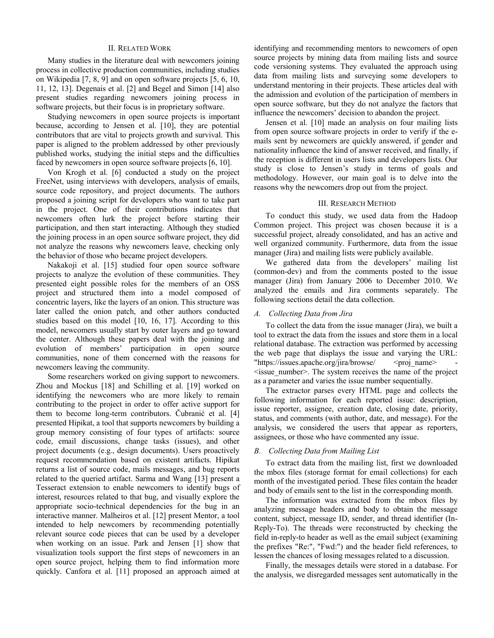## II. RELATED WORK

Many studies in the literature deal with newcomers joining process in collective production communities, including studies on Wikipedia [7, 8, 9] and on open software projects [5, 6, 10, 11, 12, 13]. Degenais et al. [2] and Begel and Simon [14] also present studies regarding newcomers joining process in software projects, but their focus is in proprietary software.

Studying newcomers in open source projects is important because, according to Jensen et al. [10], they are potential contributors that are vital to projects growth and survival. This paper is aligned to the problem addressed by other previously published works, studying the initial steps and the difficulties faced by newcomers in open source software projects [6, 10].

Von Krogh et al. [6] conducted a study on the project FreeNet, using interviews with developers, analysis of emails, source code repository, and project documents. The authors proposed a joining script for developers who want to take part in the project. One of their contributions indicates that newcomers often lurk the project before starting their participation, and then start interacting. Although they studied the joining process in an open source software project, they did not analyze the reasons why newcomers leave, checking only the behavior of those who became project developers.

Nakakoji et al. [15] studied four open source software projects to analyze the evolution of these communities. They presented eight possible roles for the members of an OSS project and structured them into a model composed of concentric layers, like the layers of an onion. This structure was later called the onion patch, and other authors conducted studies based on this model [10, 16, 17]. According to this model, newcomers usually start by outer layers and go toward the center. Although these papers deal with the joining and evolution of members' participation in open source communities, none of them concerned with the reasons for newcomers leaving the community.

Some researchers worked on giving support to newcomers. Zhou and Mockus [18] and Schilling et al. [19] worked on identifying the newcomers who are more likely to remain contributing to the project in order to offer active support for them to become long-term contributors. Čubranić et al. [4] presented Hipikat, a tool that supports newcomers by building a group memory consisting of four types of artifacts: source code, email discussions, change tasks (issues), and other project documents (e.g., design documents). Users proactively request recommendation based on existent artifacts. Hipikat returns a list of source code, mails messages, and bug reports related to the queried artifact. Sarma and Wang [13] present a Tesseract extension to enable newcomers to identify bugs of interest, resources related to that bug, and visually explore the appropriate socio-technical dependencies for the bug in an interactive manner. Malheiros et al. [12] present Mentor, a tool intended to help newcomers by recommending potentially relevant source code pieces that can be used by a developer when working on an issue. Park and Jensen [1] show that visualization tools support the first steps of newcomers in an open source project, helping them to find information more quickly. Canfora et al. [11] proposed an approach aimed at

identifying and recommending mentors to newcomers of open source projects by mining data from mailing lists and source code versioning systems. They evaluated the approach using data from mailing lists and surveying some developers to understand mentoring in their projects. These articles deal with the admission and evolution of the participation of members in open source software, but they do not analyze the factors that influence the newcomers' decision to abandon the project.

Jensen et al. [10] made an analysis on four mailing lists from open source software projects in order to verify if the emails sent by newcomers are quickly answered, if gender and nationality influence the kind of answer received, and finally, if the reception is different in users lists and developers lists. Our study is close to Jensen's study in terms of goals and methodology. However, our main goal is to delve into the reasons why the newcomers drop out from the project.

# III. RESEARCH METHOD

To conduct this study, we used data from the Hadoop Common project. This project was chosen because it is a successful project, already consolidated, and has an active and well organized community. Furthermore, data from the issue manager (Jira) and mailing lists were publicly available.

We gathered data from the developers' mailing list (common-dev) and from the comments posted to the issue manager (Jira) from January 2006 to December 2010. We analyzed the emails and Jira comments separately. The following sections detail the data collection.

## *A. Collecting Data from Jira*

To collect the data from the issue manager (Jira), we built a tool to extract the data from the issues and store them in a local relational database. The extraction was performed by accessing the web page that displays the issue and varying the URL: "https://issues.apache.org/jira/browse/ $\leq$ proj\_name>  $\leq$ issue number $\geq$ . The system receives the name of the project as a parameter and varies the issue number sequentially.

The extractor parses every HTML page and collects the following information for each reported issue: description, issue reporter, assignee, creation date, closing date, priority, status, and comments (with author, date, and message). For the analysis, we considered the users that appear as reporters, assignees, or those who have commented any issue.

# *B. Collecting Data from Mailing List*

To extract data from the mailing list, first we downloaded the mbox files (storage format for email collections) for each month of the investigated period. These files contain the header and body of emails sent to the list in the corresponding month.

The information was extracted from the mbox files by analyzing message headers and body to obtain the message content, subject, message ID, sender, and thread identifier (In-Reply-To). The threads were reconstructed by checking the field in-reply-to header as well as the email subject (examining the prefixes "Re:", "Fwd:") and the header field references, to lessen the chances of losing messages related to a discussion.

Finally, the messages details were stored in a database. For the analysis, we disregarded messages sent automatically in the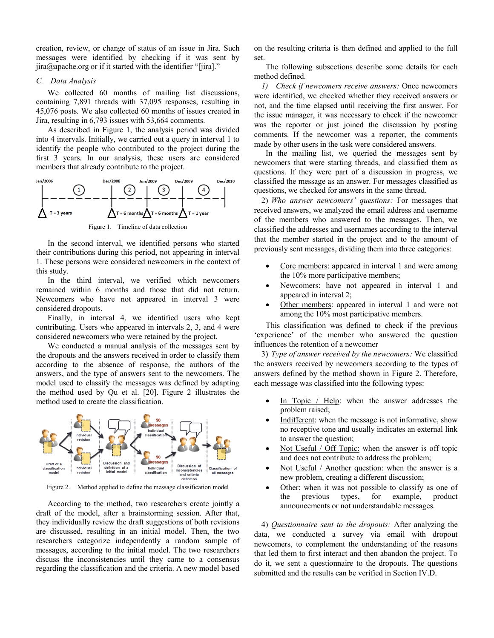creation, review, or change of status of an issue in Jira. Such messages were identified by checking if it was sent by jira@apache.org or if it started with the identifier "[jira]."

## *C. Data Analysis*

We collected 60 months of mailing list discussions, containing 7,891 threads with 37,095 responses, resulting in 45,076 posts. We also collected 60 months of issues created in Jira, resulting in 6,793 issues with 53,664 comments.

As described in Figure 1, the analysis period was divided into 4 intervals. Initially, we carried out a query in interval 1 to identify the people who contributed to the project during the first 3 years. In our analysis, these users are considered members that already contribute to the project.



In the second interval, we identified persons who started their contributions during this period, not appearing in interval 1. These persons were considered newcomers in the context of this study.

In the third interval, we verified which newcomers remained within 6 months and those that did not return. Newcomers who have not appeared in interval 3 were considered dropouts.

Finally, in interval 4, we identified users who kept contributing. Users who appeared in intervals 2, 3, and 4 were considered newcomers who were retained by the project.

We conducted a manual analysis of the messages sent by the dropouts and the answers received in order to classify them according to the absence of response, the authors of the answers, and the type of answers sent to the newcomers. The model used to classify the messages was defined by adapting the method used by Qu et al. [20]. Figure 2 illustrates the method used to create the classification.



Figure 2. Method applied to define the message classification model

According to the method, two researchers create jointly a draft of the model, after a brainstorming session. After that, they individually review the draft suggestions of both revisions are discussed, resulting in an initial model. Then, the two researchers categorize independently a random sample of messages, according to the initial model. The two researchers discuss the inconsistencies until they came to a consensus regarding the classification and the criteria. A new model based

on the resulting criteria is then defined and applied to the full set.

The following subsections describe some details for each method defined.

*1) Check if newcomers receive answers:* Once newcomers were identified, we checked whether they received answers or not, and the time elapsed until receiving the first answer. For the issue manager, it was necessary to check if the newcomer was the reporter or just joined the discussion by posting comments. If the newcomer was a reporter, the comments made by other users in the task were considered answers*.*

In the mailing list, we queried the messages sent by newcomers that were starting threads, and classified them as questions. If they were part of a discussion in progress, we classified the message as an answer. For messages classified as questions, we checked for answers in the same thread.

2) *Who answer newcomers' questions:* For messages that received answers, we analyzed the email address and username of the members who answered to the messages. Then, we classified the addresses and usernames according to the interval that the member started in the project and to the amount of previously sent messages, dividing them into three categories:

- Core members: appeared in interval 1 and were among the 10% more participative members;
- Newcomers: have not appeared in interval 1 and appeared in interval 2;
- Other members: appeared in interval 1 and were not among the 10% most participative members.

This classification was defined to check if the previous 'experience' of the member who answered the question influences the retention of a newcomer

3) *Type of answer received by the newcomers:* We classified the answers received by newcomers according to the types of answers defined by the method shown in Figure 2. Therefore, each message was classified into the following types:

- In Topic / Help: when the answer addresses the problem raised;
- Indifferent: when the message is not informative, show no receptive tone and usually indicates an external link to answer the question;
- Not Useful / Off Topic: when the answer is off topic and does not contribute to address the problem;
- Not Useful / Another question: when the answer is a new problem, creating a different discussion;
- Other: when it was not possible to classify as one of the previous types, for example, product announcements or not understandable messages.

4) *Questionnaire sent to the dropouts:* After analyzing the data, we conducted a survey via email with dropout newcomers, to complement the understanding of the reasons that led them to first interact and then abandon the project. To do it, we sent a questionnaire to the dropouts. The questions submitted and the results can be verified in Section IV.D.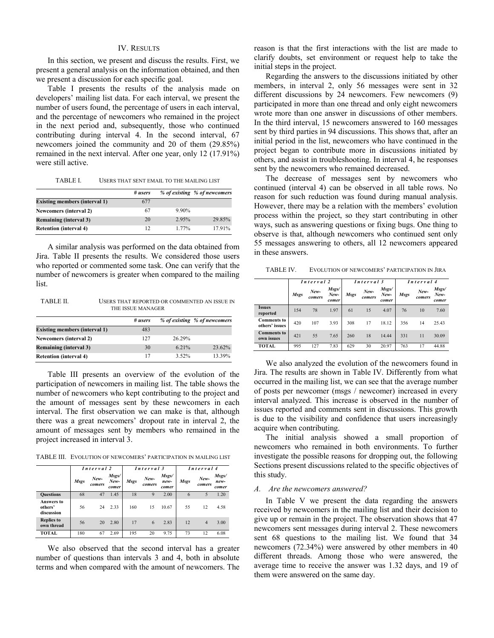#### IV. RESULTS

In this section, we present and discuss the results. First, we present a general analysis on the information obtained, and then we present a discussion for each specific goal.

Table I presents the results of the analysis made on developers' mailing list data. For each interval, we present the number of users found, the percentage of users in each interval, and the percentage of newcomers who remained in the project in the next period and, subsequently, those who continued contributing during interval 4. In the second interval, 67 newcomers joined the community and 20 of them (29.85%) remained in the next interval. After one year, only 12 (17.91%) were still active.

TABLE I. USERS THAT SENT EMAIL TO THE MAILING LIST

|                                      | # users |          | % of existing % of newcomers |
|--------------------------------------|---------|----------|------------------------------|
| <b>Existing members (interval 1)</b> | 677     |          |                              |
| <b>Newcomers (interval 2)</b>        | 67      | $9.90\%$ |                              |
| <b>Remaining (interval 3)</b>        | 20      | 2.95%    | 29.85%                       |
| <b>Retention (interval 4)</b>        | 12      | $1.77\%$ | 1791%                        |

A similar analysis was performed on the data obtained from Jira. Table II presents the results. We considered those users who reported or commented some task. One can verify that the number of newcomers is greater when compared to the mailing list.

TABLE II. USERS THAT REPORTED OR COMMENTED AN ISSUE IN THE ISSUE MANAGER

|                                      | # users |        | % of existing % of newcomers |
|--------------------------------------|---------|--------|------------------------------|
| <b>Existing members (interval 1)</b> | 483     |        |                              |
| <b>Newcomers (interval 2)</b>        | 127     | 26.29% |                              |
| <b>Remaining (interval 3)</b>        | 30      | 6.21%  | $23.62\%$                    |
| <b>Retention (interval 4)</b>        | 17      | 3.52%  | 13 39%                       |

Table III presents an overview of the evolution of the participation of newcomers in mailing list. The table shows the number of newcomers who kept contributing to the project and the amount of messages sent by these newcomers in each interval. The first observation we can make is that, although there was a great newcomers' dropout rate in interval 2, the amount of messages sent by members who remained in the project increased in interval 3.

TABLE III. EVOLUTION OF NEWCOMERS' PARTICIPATION IN MAILING LIST

|                                            | Interval 2  |                  |                        | Interval 3  |                | Interval 4             |             |                  |                        |
|--------------------------------------------|-------------|------------------|------------------------|-------------|----------------|------------------------|-------------|------------------|------------------------|
|                                            | <b>Msgs</b> | $New-$<br>comers | Msgs/<br>New-<br>comer | <b>Msgs</b> | New-<br>comers | Msgs/<br>new-<br>comer | <b>Msgs</b> | $New-$<br>comers | Msgs/<br>new-<br>comer |
| <b>Questions</b>                           | 68          | 47               | 1.45                   | 18          | 9              | 2.00                   | 6           | 5                | 1.20                   |
| <b>Answers to</b><br>others'<br>discussion | 56          | 24               | 2.33                   | 160         | 15             | 10.67                  | 55          | 12               | 4.58                   |
| <b>Replies to</b><br>own thread            | 56          | 20               | 2.80                   | 17          | 6              | 2.83                   | 12          | $\overline{4}$   | 3.00                   |
| <b>TOTAL</b>                               | 180         | 67               | 2.69                   | 195         | 20             | 9.75                   | 73          | 12               | 6.08                   |

We also observed that the second interval has a greater number of questions than intervals 3 and 4, both in absolute terms and when compared with the amount of newcomers. The reason is that the first interactions with the list are made to clarify doubts, set environment or request help to take the initial steps in the project.

Regarding the answers to the discussions initiated by other members, in interval 2, only 56 messages were sent in 32 different discussions by 24 newcomers. Few newcomers (9) participated in more than one thread and only eight newcomers wrote more than one answer in discussions of other members. In the third interval, 15 newcomers answered to 160 messages sent by third parties in 94 discussions. This shows that, after an initial period in the list, newcomers who have continued in the project began to contribute more in discussions initiated by others, and assist in troubleshooting. In interval 4, he responses sent by the newcomers who remained decreased.

The decrease of messages sent by newcomers who continued (interval 4) can be observed in all table rows. No reason for such reduction was found during manual analysis. However, there may be a relation with the members' evolution process within the project, so they start contributing in other ways, such as answering questions or fixing bugs. One thing to observe is that, although newcomers who continued sent only 55 messages answering to others, all 12 newcomers appeared in these answers.

TABLE IV. EVOLUTION OF NEWCOMERS' PARTICIPATION IN JIRA

|                                      | Interval 2  |                |                        | Interval 3  |                | Interval 4             |             |                |                        |
|--------------------------------------|-------------|----------------|------------------------|-------------|----------------|------------------------|-------------|----------------|------------------------|
|                                      | <b>Msgs</b> | New-<br>comers | Msgs/<br>New-<br>comer | <b>Msgs</b> | New-<br>comers | Msgs/<br>New-<br>comer | <b>Msgs</b> | New-<br>comers | Msgs/<br>New-<br>comer |
| <b>Issues</b><br>reported            | 154         | 78             | 1.97                   | 61          | 15             | 4.07                   | 76          | 10             | 7.60                   |
| <b>Comments to</b><br>others' issues | 420         | 107            | 3.93                   | 308         | 17             | 18.12                  | 356         | 14             | 2543                   |
| <b>Comments to</b><br>own issues     | 421         | 55             | 7.65                   | 260         | 18             | 14 44                  | 331         | 11             | 30.09                  |
| <b>TOTAL</b>                         | 995         | 127            | 7.83                   | 629         | 30             | 20.97                  | 763         | 17             | 44.88                  |

We also analyzed the evolution of the newcomers found in Jira. The results are shown in Table IV. Differently from what occurred in the mailing list, we can see that the average number of posts per newcomer (msgs / newcomer) increased in every interval analyzed. This increase is observed in the number of issues reported and comments sent in discussions. This growth is due to the visibility and confidence that users increasingly acquire when contributing.

The initial analysis showed a small proportion of newcomers who remained in both environments. To further investigate the possible reasons for dropping out, the following Sections present discussions related to the specific objectives of this study.

## *A. Are the newcomers answered?*

In Table V we present the data regarding the answers received by newcomers in the mailing list and their decision to give up or remain in the project. The observation shows that 47 newcomers sent messages during interval 2. These newcomers sent 68 questions to the mailing list. We found that 34 newcomers (72.34%) were answered by other members in 40 different threads. Among those who were answered, the average time to receive the answer was 1.32 days, and 19 of them were answered on the same day.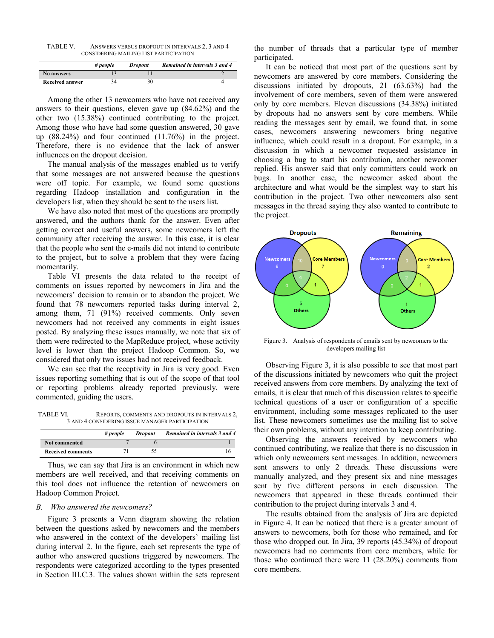TABLE V. ANSWERS VERSUS DROPOUT IN INTERVALS 2, 3 AND 4 CONSIDERING MAILING LIST PARTICIPATION

|                        | # people | <b>Dropout</b> | Remained in intervals 3 and 4 |
|------------------------|----------|----------------|-------------------------------|
| <b>No answers</b>      |          |                |                               |
| <b>Received answer</b> | 34       |                |                               |

Among the other 13 newcomers who have not received any answers to their questions, eleven gave up (84.62%) and the other two (15.38%) continued contributing to the project. Among those who have had some question answered, 30 gave up  $(88.24\%)$  and four continued  $(11.76\%)$  in the project. Therefore, there is no evidence that the lack of answer influences on the dropout decision.

The manual analysis of the messages enabled us to verify that some messages are not answered because the questions were off topic. For example, we found some questions regarding Hadoop installation and configuration in the developers list, when they should be sent to the users list.

We have also noted that most of the questions are promptly answered, and the authors thank for the answer. Even after getting correct and useful answers, some newcomers left the community after receiving the answer. In this case, it is clear that the people who sent the e-mails did not intend to contribute to the project, but to solve a problem that they were facing momentarily.

Table VI presents the data related to the receipt of comments on issues reported by newcomers in Jira and the newcomers' decision to remain or to abandon the project. We found that 78 newcomers reported tasks during interval 2, among them, 71 (91%) received comments. Only seven newcomers had not received any comments in eight issues posted. By analyzing these issues manually, we note that six of them were redirected to the MapReduce project, whose activity level is lower than the project Hadoop Common. So, we considered that only two issues had not received feedback.

We can see that the receptivity in Jira is very good. Even issues reporting something that is out of the scope of that tool or reporting problems already reported previously, were commented, guiding the users.

TABLE VI. REPORTS, COMMENTS AND DROPOUTS IN INTERVALS 2, 3 AND 4 CONSIDERING ISSUE MANAGER PARTICIPATION

|                          | # people | <b>Dropout</b> | Remained in intervals 3 and 4 |
|--------------------------|----------|----------------|-------------------------------|
| <b>Not commented</b>     |          |                |                               |
| <b>Received comments</b> |          |                |                               |

Thus, we can say that Jira is an environment in which new members are well received, and that receiving comments on this tool does not influence the retention of newcomers on Hadoop Common Project.

#### *B. Who answered the newcomers?*

Figure 3 presents a Venn diagram showing the relation between the questions asked by newcomers and the members who answered in the context of the developers' mailing list during interval 2. In the figure, each set represents the type of author who answered questions triggered by newcomers. The respondents were categorized according to the types presented in Section III.C.3. The values shown within the sets represent the number of threads that a particular type of member participated.

It can be noticed that most part of the questions sent by newcomers are answered by core members. Considering the discussions initiated by dropouts, 21 (63.63%) had the involvement of core members, seven of them were answered only by core members. Eleven discussions (34.38%) initiated by dropouts had no answers sent by core members. While reading the messages sent by email, we found that, in some cases, newcomers answering newcomers bring negative influence, which could result in a dropout. For example, in a discussion in which a newcomer requested assistance in choosing a bug to start his contribution, another newcomer replied. His answer said that only committers could work on bugs. In another case, the newcomer asked about the architecture and what would be the simplest way to start his contribution in the project. Two other newcomers also sent messages in the thread saying they also wanted to contribute to the project.



Figure 3. Analysis of respondents of emails sent by newcomers to the developers mailing list

Observing Figure 3, it is also possible to see that most part of the discussions initiated by newcomers who quit the project received answers from core members. By analyzing the text of emails, it is clear that much of this discussion relates to specific technical questions of a user or configuration of a specific environment, including some messages replicated to the user list. These newcomers sometimes use the mailing list to solve their own problems, without any intention to keep contributing.

Observing the answers received by newcomers who continued contributing, we realize that there is no discussion in which only newcomers sent messages. In addition, newcomers sent answers to only 2 threads. These discussions were manually analyzed, and they present six and nine messages sent by five different persons in each discussion. The newcomers that appeared in these threads continued their contribution to the project during intervals 3 and 4.

The results obtained from the analysis of Jira are depicted in Figure 4. It can be noticed that there is a greater amount of answers to newcomers, both for those who remained, and for those who dropped out. In Jira, 39 reports (45.34%) of dropout newcomers had no comments from core members, while for those who continued there were 11 (28.20%) comments from core members.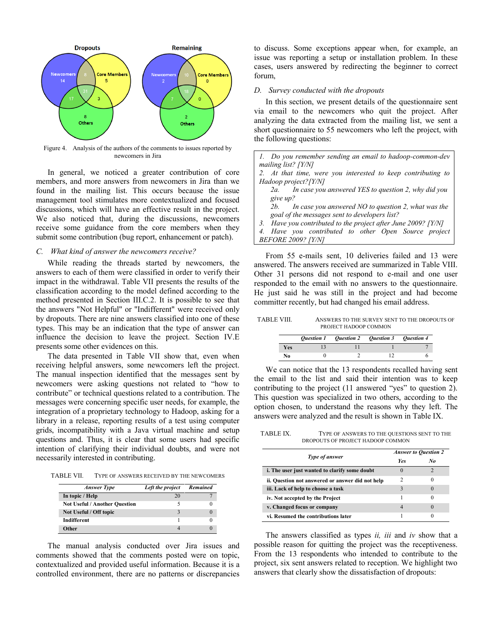

Figure 4. Analysis of the authors of the comments to issues reported by newcomers in Jira

In general, we noticed a greater contribution of core members, and more answers from newcomers in Jira than we found in the mailing list. This occurs because the issue management tool stimulates more contextualized and focused discussions, which will have an effective result in the project. We also noticed that, during the discussions, newcomers receive some guidance from the core members when they submit some contribution (bug report, enhancement or patch).

# *C. What kind of answer the newcomers receive?*

While reading the threads started by newcomers, the answers to each of them were classified in order to verify their impact in the withdrawal. Table VII presents the results of the classification according to the model defined according to the method presented in Section III.C.2. It is possible to see that the answers "Not Helpful" or "Indifferent" were received only by dropouts. There are nine answers classified into one of these types. This may be an indication that the type of answer can influence the decision to leave the project. Section IV.E presents some other evidences on this.

The data presented in Table VII show that, even when receiving helpful answers, some newcomers left the project. The manual inspection identified that the messages sent by newcomers were asking questions not related to "how to contribute" or technical questions related to a contribution. The messages were concerning specific user needs, for example, the integration of a proprietary technology to Hadoop, asking for a library in a release, reporting results of a test using computer grids, incompatibility with a Java virtual machine and setup questions and. Thus, it is clear that some users had specific intention of clarifying their individual doubts, and were not necessarily interested in contributing.

TABLE VII. TYPE OF ANSWERS RECEIVED BY THE NEWCOMERS

| <b>Answer Type</b>                   | Left the project | <b>Remained</b> |
|--------------------------------------|------------------|-----------------|
| In topic / Help                      | 20               |                 |
| <b>Not Useful / Another Question</b> |                  |                 |
| Not Useful / Off topic               |                  | $\left($        |
| <b>Indifferent</b>                   |                  | O               |
| <b>Ither</b>                         |                  |                 |

The manual analysis conducted over Jira issues and comments showed that the comments posted were on topic, contextualized and provided useful information. Because it is a controlled environment, there are no patterns or discrepancies to discuss. Some exceptions appear when, for example, an issue was reporting a setup or installation problem. In these cases, users answered by redirecting the beginner to correct forum,

# *D. Survey conducted with the dropouts*

In this section, we present details of the questionnaire sent via email to the newcomers who quit the project. After analyzing the data extracted from the mailing list, we sent a short questionnaire to 55 newcomers who left the project, with the following questions:

| 1. Do you remember sending an email to hadoop-common-dev      |
|---------------------------------------------------------------|
| mailing list? [Y/N]                                           |
| 2. At that time, were you interested to keep contributing to  |
| Hadoop project?[Y/N]                                          |
| 2a. In case you answered YES to question 2, why did you       |
| give up?                                                      |
| 2b. In case you answered NO to question 2, what was the       |
| goal of the messages sent to developers list?                 |
| 3. Have you contributed to the project after June 2009? [Y/N] |
| Have you contributed to other Open Source project             |
| <b>BEFORE 2009? [Y/N]</b>                                     |

From 55 e-mails sent, 10 deliveries failed and 13 were answered. The answers received are summarized in Table VIII. Other 31 persons did not respond to e-mail and one user responded to the email with no answers to the questionnaire. He just said he was still in the project and had become committer recently, but had changed his email address.

|     |  | $Q$ <i>ncsuon</i> 1 $Q$ <i>ncsuon</i> 2 $Q$ <i>ncsuon</i> 5 | $2$ <i>m</i> comon <i>T</i> |
|-----|--|-------------------------------------------------------------|-----------------------------|
| Yes |  |                                                             |                             |
| No  |  |                                                             |                             |
|     |  |                                                             |                             |

We can notice that the 13 respondents recalled having sent the email to the list and said their intention was to keep contributing to the project (11 answered "yes" to question 2). This question was specialized in two others, according to the option chosen, to understand the reasons why they left. The answers were analyzed and the result is shown in Table IX.

TABLE IX. TYPE OF ANSWERS TO THE QUESTIONS SENT TO THE DROPOUTS OF PROJECT HADOOP COMMON

|                                                  | <b>Answer to Question 2</b> |          |  |
|--------------------------------------------------|-----------------------------|----------|--|
| <b>Type of answer</b>                            | <b>Yes</b>                  | No       |  |
| i. The user just wanted to clarify some doubt    | $\Omega$                    | 7        |  |
| ii. Question not answered or answer did not help | $\overline{c}$              | $\Omega$ |  |
| iii. Lack of help to choose a task               | $\mathbf{3}$                | $\Omega$ |  |
| iv. Not accepted by the Project                  |                             | $\Omega$ |  |
| v. Changed focus or company                      | 4                           | $\Omega$ |  |
| vi. Resumed the contributions later              |                             | 0        |  |

The answers classified as types *ii, iii* and *iv* show that a possible reason for quitting the project was the receptiveness. From the 13 respondents who intended to contribute to the project, six sent answers related to reception. We highlight two answers that clearly show the dissatisfaction of dropouts: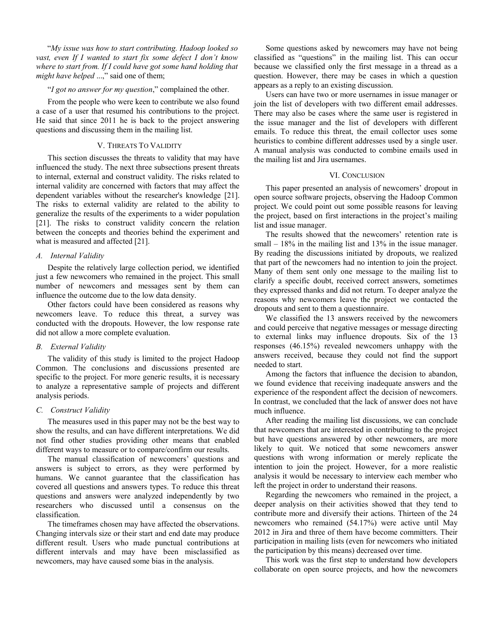"*My issue was how to start contributing. Hadoop looked so vast, even If I wanted to start fix some defect I don't know where to start from. If I could have got some hand holding that might have helped* ...," said one of them;

"*I got no answer for my question*," complained the other.

From the people who were keen to contribute we also found a case of a user that resumed his contributions to the project. He said that since 2011 he is back to the project answering questions and discussing them in the mailing list.

## V. THREATS TO VALIDITY

This section discusses the threats to validity that may have influenced the study. The next three subsections present threats to internal, external and construct validity. The risks related to internal validity are concerned with factors that may affect the dependent variables without the researcher's knowledge [21]. The risks to external validity are related to the ability to generalize the results of the experiments to a wider population [21]. The risks to construct validity concern the relation between the concepts and theories behind the experiment and what is measured and affected [21].

## *A. Internal Validity*

Despite the relatively large collection period, we identified just a few newcomers who remained in the project. This small number of newcomers and messages sent by them can influence the outcome due to the low data density.

Other factors could have been considered as reasons why newcomers leave. To reduce this threat, a survey was conducted with the dropouts. However, the low response rate did not allow a more complete evaluation.

## *B. External Validity*

The validity of this study is limited to the project Hadoop Common. The conclusions and discussions presented are specific to the project. For more generic results, it is necessary to analyze a representative sample of projects and different analysis periods.

## *C. Construct Validity*

The measures used in this paper may not be the best way to show the results, and can have different interpretations. We did not find other studies providing other means that enabled different ways to measure or to compare/confirm our results.

The manual classification of newcomers' questions and answers is subject to errors, as they were performed by humans. We cannot guarantee that the classification has covered all questions and answers types. To reduce this threat questions and answers were analyzed independently by two researchers who discussed until a consensus on the classification.

The timeframes chosen may have affected the observations. Changing intervals size or their start and end date may produce different result. Users who made punctual contributions at different intervals and may have been misclassified as newcomers, may have caused some bias in the analysis.

Some questions asked by newcomers may have not being classified as "questions" in the mailing list. This can occur because we classified only the first message in a thread as a question. However, there may be cases in which a question appears as a reply to an existing discussion.

Users can have two or more usernames in issue manager or join the list of developers with two different email addresses. There may also be cases where the same user is registered in the issue manager and the list of developers with different emails. To reduce this threat, the email collector uses some heuristics to combine different addresses used by a single user. A manual analysis was conducted to combine emails used in the mailing list and Jira usernames.

#### VI. CONCLUSION

This paper presented an analysis of newcomers' dropout in open source software projects, observing the Hadoop Common project. We could point out some possible reasons for leaving the project, based on first interactions in the project's mailing list and issue manager.

The results showed that the newcomers' retention rate is small – 18% in the mailing list and 13% in the issue manager. By reading the discussions initiated by dropouts, we realized that part of the newcomers had no intention to join the project. Many of them sent only one message to the mailing list to clarify a specific doubt, received correct answers, sometimes they expressed thanks and did not return. To deeper analyze the reasons why newcomers leave the project we contacted the dropouts and sent to them a questionnaire.

We classified the 13 answers received by the newcomers and could perceive that negative messages or message directing to external links may influence dropouts. Six of the 13 responses (46.15%) revealed newcomers unhappy with the answers received, because they could not find the support needed to start.

Among the factors that influence the decision to abandon, we found evidence that receiving inadequate answers and the experience of the respondent affect the decision of newcomers. In contrast, we concluded that the lack of answer does not have much influence.

After reading the mailing list discussions, we can conclude that newcomers that are interested in contributing to the project but have questions answered by other newcomers, are more likely to quit. We noticed that some newcomers answer questions with wrong information or merely replicate the intention to join the project. However, for a more realistic analysis it would be necessary to interview each member who left the project in order to understand their reasons.

Regarding the newcomers who remained in the project, a deeper analysis on their activities showed that they tend to contribute more and diversify their actions. Thirteen of the 24 newcomers who remained (54.17%) were active until May 2012 in Jira and three of them have become committers. Their participation in mailing lists (even for newcomers who initiated the participation by this means) decreased over time.

This work was the first step to understand how developers collaborate on open source projects, and how the newcomers